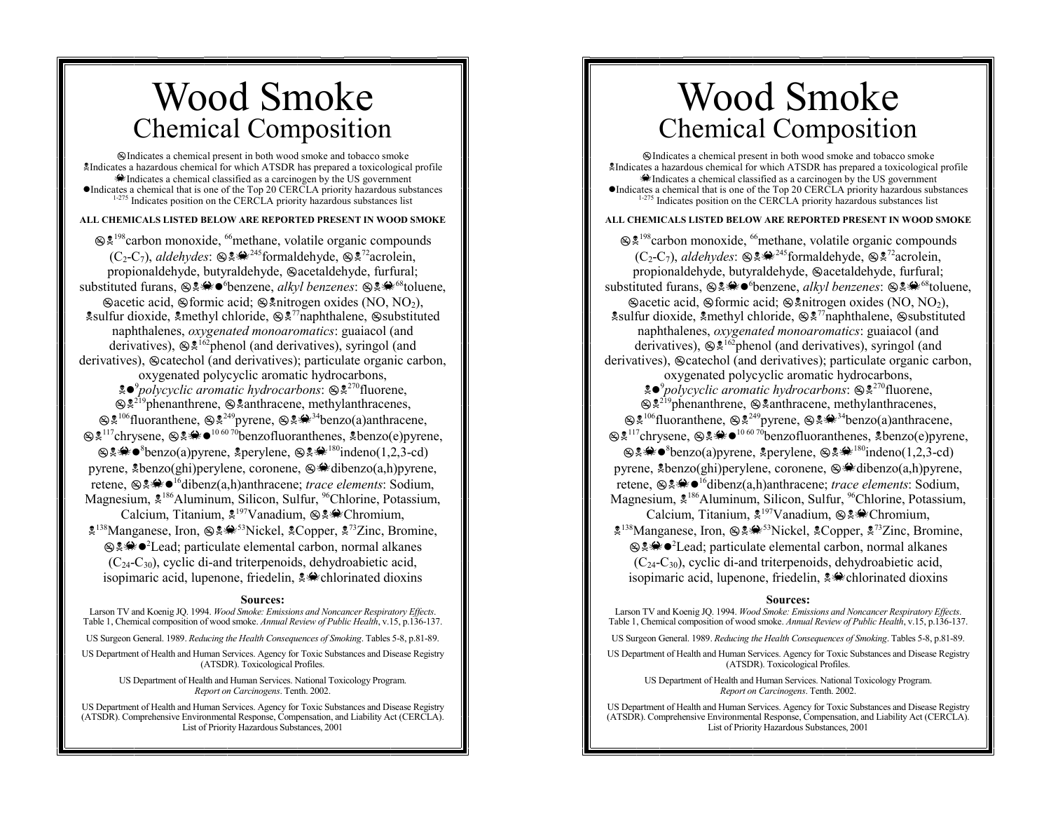# Wood Smoke Chemical Composition

!Indicates a chemical present in both wood smoke and tobacco smoke !Indicates a hazardous chemical for which ATSDR has prepared a toxicological profile  $\triangle$ Indicates a chemical classified as a carcinogen by the US government "Indicates a chemical that is one of the Top 20 CERCLA priority hazardous substances <sup>1-275</sup> Indicates position on the CERCLA priority hazardous substances list

### **ALL CHEMICALS LISTED BELOW ARE REPORTED PRESENT IN WOOD SMOKE**

 $\otimes$ <sup>198</sup>carbon monoxide, <sup>66</sup>methane, volatile organic compounds  $(C_2-C_7)$ , *aldehydes*:  $\otimes$   $\otimes$   $\otimes$ <sup>245</sup>formaldehyde,  $\otimes$   $\otimes$ <sup>72</sup>acrolein, propionaldehyde, butyraldehyde,  $\mathcal{Q}$ acetaldehyde, furfural; substituted furans, !!O"6benzene, *alkyl benzenes*: !!O68toluene,  $\mathscr{B}$ acetic acid,  $\mathscr{B}$ formic acid;  $\mathscr{B}$  $\mathscr{B}$ nitrogen oxides (NO, NO<sub>2</sub>),  $\frac{1}{2}$  sulfur dioxide,  $\frac{1}{2}$  methyl chloride,  $\frac{1}{2}$   $\frac{1}{2}$ <sup>77</sup>naphthalene,  $\frac{1}{2}$  substituted naphthalenes, *oxygenated monoaromatics*: guaiacol (and derivatives),  $\mathcal{F}^{\sharp62}$ phenol (and derivatives), syringol (and derivatives), Socatechol (and derivatives); particulate organic carbon, oxygenated polycyclic aromatic hydrocarbons, !"<sup>9</sup>*polycyclic aromatic hydrocarbons*: !!270fluorene,  $\otimes$ <sup>219</sup>phenanthrene,  $\otimes$  anthracene, methylanthracenes,  $\otimes$ <sup>2,106</sup>fluoranthene,  $\otimes$ <sup>2,49</sup>pyrene,  $\otimes$ <sup>2, $\circ$ 49benzo(a)anthracene,</sup>  $\otimes$ <sup>2117</sup>chrysene,  $\otimes$   $\otimes$   $\otimes$   $\otimes$   $\otimes$   $\otimes$   $\otimes$   $\otimes$   $\otimes$   $\otimes$   $\otimes$   $\otimes$   $\otimes$   $\otimes$   $\otimes$   $\otimes$   $\otimes$   $\otimes$   $\otimes$   $\otimes$   $\otimes$   $\otimes$   $\otimes$   $\otimes$   $\otimes$   $\otimes$   $\otimes$   $\otimes$   $\otimes$   $\otimes$   $\otimes$   $\otimes$   $\otimes$   $\$  $\otimes$ &  $\bullet$ <sup>8</sup>benzo(a)pyrene, & perylene,  $\otimes$   $\bullet$   $\bullet$ <sup>180</sup>indeno(1,2,3-cd) pyrene,  $\&\text{benzo(ghi)}$ perylene, coronene,  $\&\text{Adibenzo(a,h)}$ pyrene, retene,  $\mathfrak{g}_* \otimes \mathfrak{g}_0 = \mathfrak{g}_0$  and  $\mathfrak{g}_0$  and  $\mathfrak{g}_1$  and  $\mathfrak{g}_1$  are *trace elements*: Sodium, Magnesium,  $\frac{186}{5}$ Aluminum, Silicon, Sulfur, <sup>96</sup>Chlorine, Potassium, Calcium, Titanium,  $\frac{1}{2}^{197}$ Vanadium,  $\frac{1}{2}$ . Chromium,  $\frac{138}{2}$ Manganese, Iron,  $\frac{138}{2}$ <sup>53</sup>Nickel,  $\frac{128}{2}$ Copper,  $\frac{127}{2}$ Zinc, Bromine, the algebra of Lead; particulate elemental carbon, normal alkanes  $(C_{24}-C_{30})$ , cyclic di-and triterpenoids, dehydroabietic acid, isopimaric acid, lupenone, friedelin,  $\frac{1}{2}$ chlorinated dioxins

#### **Sources:**

 Larson TV and Koenig JQ. 1994. *Wood Smoke: Emissions and Noncancer Respiratory Effects*. Table 1, Chemical composition of wood smoke. *Annual Review of Public Health*, v.15, p.136-137.

US Surgeon General. 1989. *Reducing the Health Consequences of Smoking*. Tables 5-8, p.81-89.

US Department of Health and Human Services. Agency for Toxic Substances and Disease Registry (ATSDR). Toxicological Profiles.

> US Department of Health and Human Services. National Toxicology Program. *Report on Carcinogens*. Tenth. 2002.

US Department of Health and Human Services. Agency for Toxic Substances and Disease Registry (ATSDR). Comprehensive Environmental Response, Compensation, and Liability Act (CERCLA). List of Priority Hazardous Substances, 2001

# Wood Smoke Chemical Composition

!Indicates a chemical present in both wood smoke and tobacco smoke !Indicates a hazardous chemical for which ATSDR has prepared a toxicological profile  $\triangle$ Indicates a chemical classified as a carcinogen by the US government  $\bullet$  Indicates a chemical that is one of the Top 20 CERCLA priority hazardous substances <sup>1-275</sup> Indicates position on the CERCLA priority hazardous substances list

### **ALL CHEMICALS LISTED BELOW ARE REPORTED PRESENT IN WOOD SMOKE**

 $\otimes$ <sup>198</sup>carbon monoxide, <sup>66</sup>methane, volatile organic compounds  $(C_2-C_7)$ , *aldehydes*:  $\otimes$   $\otimes$   $\otimes$ <sup>245</sup>formaldehyde,  $\otimes$   $\otimes$ <sup>72</sup>acrolein, propionaldehyde, butyraldehyde,  $\mathcal{Q}$ acetaldehyde, furfural; substituted furans, !!O"6benzene, *alkyl benzenes*: !!O68toluene,  $\mathscr{B}$ acetic acid,  $\mathscr{B}$ formic acid;  $\mathscr{B}$  $\mathscr{B}$ nitrogen oxides (NO, NO<sub>2</sub>),  $\frac{1}{2}$  sulfur dioxide,  $\frac{1}{2}$  methyl chloride,  $\frac{1}{2}$   $\frac{1}{2}$ <sup>77</sup>naphthalene,  $\frac{1}{2}$  substituted naphthalenes, *oxygenated monoaromatics*: guaiacol (and derivatives),  $\mathcal{F}^{\sharp62}$ phenol (and derivatives), syringol (and derivatives),  $\otimes$  catechol (and derivatives); particulate organic carbon, oxygenated polycyclic aromatic hydrocarbons, !"<sup>9</sup>*polycyclic aromatic hydrocarbons*: !!270fluorene,  $\otimes$ <sup>219</sup>phenanthrene,  $\otimes$  anthracene, methylanthracenes,  $\otimes$ <sup>2,106</sup>fluoranthene,  $\otimes$ <sup>2,49</sup>pyrene,  $\otimes$ <sup>2, $\circ$ 49benzo(a)anthracene,</sup>  $\otimes$ <sup>2117</sup>chrysene,  $\otimes$ <sup>2 $\otimes$ </sup>  $\bullet$ <sup>10 60 70</sup>benzofluoranthenes,  $\ddot{\ddot{\mathcal{Z}}}$ benzo(e)pyrene,  $\otimes$ &  $\bullet$ <sup>8</sup>benzo(a)pyrene, & perylene,  $\otimes$   $\bullet$   $\bullet$ <sup>180</sup>indeno(1,2,3-cd) pyrene,  $\text{\&} \text{benzo(ghi)}$ perylene, coronene,  $\otimes \text{\&} \text{dibenzo(a,h)}$ pyrene, retene,  $\mathfrak{g}_* \otimes \mathfrak{g}_0 = \mathfrak{g}_0$  is discriming the *trace elements*: Sodium, Magnesium,  $\frac{186}{5}$ Aluminum, Silicon, Sulfur, <sup>96</sup>Chlorine, Potassium, Calcium, Titanium,  $\frac{1}{2}$ <sup>197</sup>Vanadium,  $\frac{1}{2}$ Chromium,  $\frac{138}{2}$ Manganese, Iron,  $\frac{138}{2}$ <sup>53</sup>Nickel,  $\frac{128}{2}$ Copper,  $\frac{127}{2}$ Zinc, Bromine, the algebra of Lead; particulate elemental carbon, normal alkanes  $(C_{24}-C_{30})$ , cyclic di-and triterpenoids, dehydroabietic acid, isopimaric acid, lupenone, friedelin,  $\frac{1}{2}$ chlorinated dioxins

#### **Sources:**

 Larson TV and Koenig JQ. 1994. *Wood Smoke: Emissions and Noncancer Respiratory Effects*. Table 1, Chemical composition of wood smoke. *Annual Review of Public Health*, v.15, p.136-137.

US Surgeon General. 1989. *Reducing the Health Consequences of Smoking*. Tables 5-8, p.81-89.

US Department of Health and Human Services. Agency for Toxic Substances and Disease Registry (ATSDR). Toxicological Profiles.

> US Department of Health and Human Services. National Toxicology Program. *Report on Carcinogens*. Tenth. 2002.

US Department of Health and Human Services. Agency for Toxic Substances and Disease Registry (ATSDR). Comprehensive Environmental Response, Compensation, and Liability Act (CERCLA). List of Priority Hazardous Substances, 2001